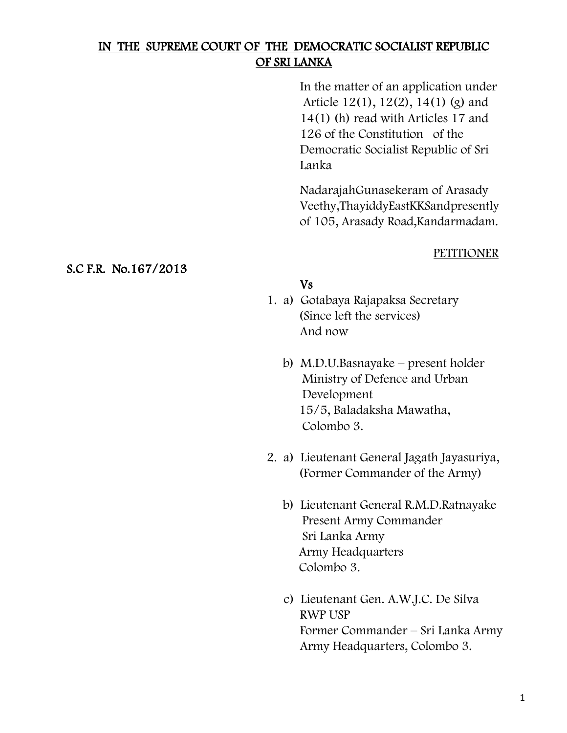# IN THE SUPREME COURT OF THE DEMOCRATIC SOCIALIST REPUBLIC OF SRI LANKA

In the matter of an application under Article 12(1), 12(2), 14(1) (g) and 14(1) (h) read with Articles 17 and 126 of the Constitution of the Democratic Socialist Republic of Sri Lanka

NadarajahGunasekeram of Arasady Veethy,ThayiddyEastKKSandpresently of 105, Arasady Road,Kandarmadam.

### PETITIONER

## Vs

- 1. a) Gotabaya Rajapaksa Secretary (Since left the services) And now
	- b) M.D.U.Basnayake present holder Ministry of Defence and Urban Development 15/5, Baladaksha Mawatha, Colombo 3.
- 2. a) Lieutenant General Jagath Jayasuriya, (Former Commander of the Army)
	- b) Lieutenant General R.M.D.Ratnayake Present Army Commander Sri Lanka Army Army Headquarters Colombo 3.
	- c) Lieutenant Gen. A.W.J.C. De Silva RWP USP Former Commander – Sri Lanka Army Army Headquarters, Colombo 3.

### S.C F.R. No.167/2013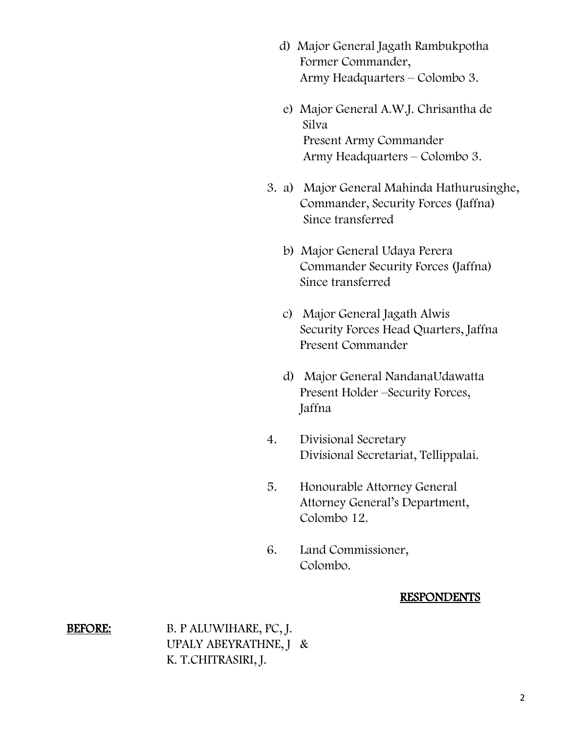- d) Major General Jagath Rambukpotha Former Commander, Army Headquarters – Colombo 3.
- e) Major General A.W.J. Chrisantha de Silva Present Army Commander Army Headquarters – Colombo 3.
- 3. a) Major General Mahinda Hathurusinghe, Commander, Security Forces (Jaffna) Since transferred
	- b) Major General Udaya Perera Commander Security Forces (Jaffna) Since transferred
	- c) Major General Jagath Alwis Security Forces Head Quarters, Jaffna Present Commander
	- d) Major General NandanaUdawatta Present Holder –Security Forces, Jaffna
- 4. Divisional Secretary Divisional Secretariat, Tellippalai.
- 5. Honourable Attorney General Attorney General's Department, Colombo 12.
- 6. Land Commissioner, Colombo.

#### RESPONDENTS

BEFORE: B. P ALUWIHARE, PC, J. UPALY ABEYRATHNE, J & K. T.CHITRASIRI, J.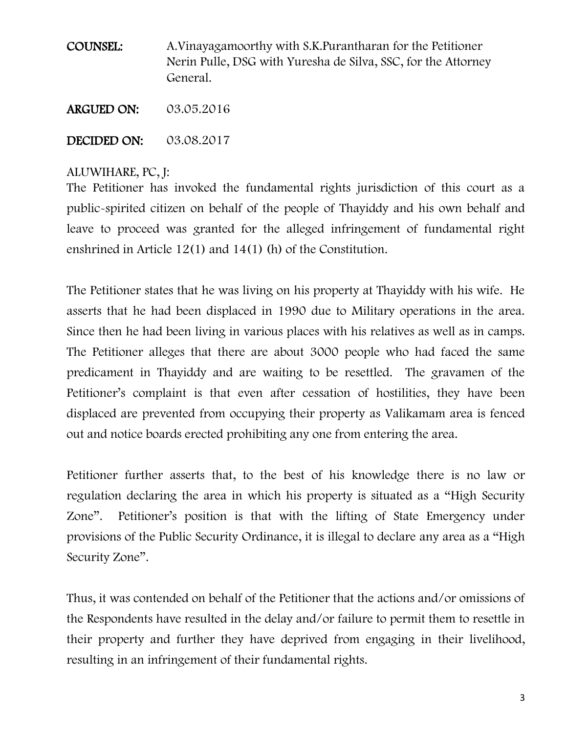COUNSEL: A.Vinayagamoorthy with S.K.Purantharan for the Petitioner Nerin Pulle, DSG with Yuresha de Silva, SSC, for the Attorney General.

ARGUED ON: 03.05.2016

DECIDED ON: 03.08.2017

## ALUWIHARE, PC, J:

The Petitioner has invoked the fundamental rights jurisdiction of this court as a public-spirited citizen on behalf of the people of Thayiddy and his own behalf and leave to proceed was granted for the alleged infringement of fundamental right enshrined in Article 12(1) and 14(1) (h) of the Constitution.

The Petitioner states that he was living on his property at Thayiddy with his wife. He asserts that he had been displaced in 1990 due to Military operations in the area. Since then he had been living in various places with his relatives as well as in camps. The Petitioner alleges that there are about 3000 people who had faced the same predicament in Thayiddy and are waiting to be resettled. The gravamen of the Petitioner's complaint is that even after cessation of hostilities, they have been displaced are prevented from occupying their property as Valikamam area is fenced out and notice boards erected prohibiting any one from entering the area.

Petitioner further asserts that, to the best of his knowledge there is no law or regulation declaring the area in which his property is situated as a "High Security Zone". Petitioner's position is that with the lifting of State Emergency under provisions of the Public Security Ordinance, it is illegal to declare any area as a "High Security Zone".

Thus, it was contended on behalf of the Petitioner that the actions and/or omissions of the Respondents have resulted in the delay and/or failure to permit them to resettle in their property and further they have deprived from engaging in their livelihood, resulting in an infringement of their fundamental rights.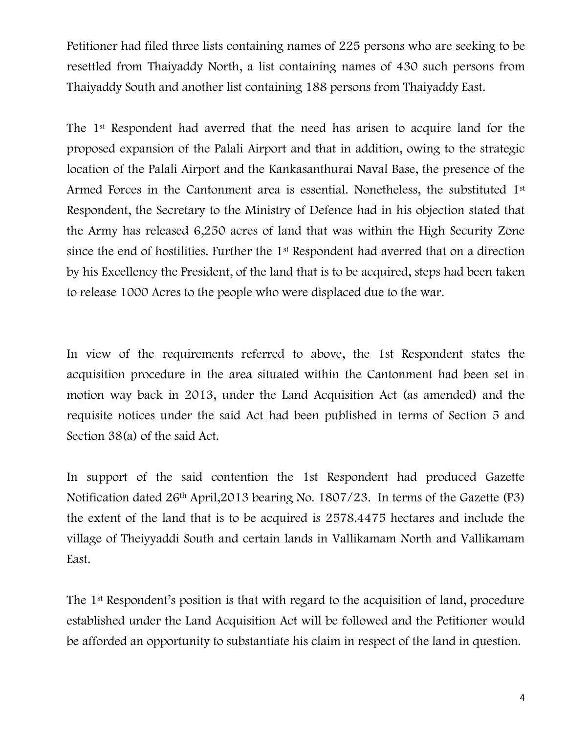Petitioner had filed three lists containing names of 225 persons who are seeking to be resettled from Thaiyaddy North, a list containing names of 430 such persons from Thaiyaddy South and another list containing 188 persons from Thaiyaddy East.

The 1st Respondent had averred that the need has arisen to acquire land for the proposed expansion of the Palali Airport and that in addition, owing to the strategic location of the Palali Airport and the Kankasanthurai Naval Base, the presence of the Armed Forces in the Cantonment area is essential. Nonetheless, the substituted 1<sup>st</sup> Respondent, the Secretary to the Ministry of Defence had in his objection stated that the Army has released 6,250 acres of land that was within the High Security Zone since the end of hostilities. Further the 1st Respondent had averred that on a direction by his Excellency the President, of the land that is to be acquired, steps had been taken to release 1000 Acres to the people who were displaced due to the war.

In view of the requirements referred to above, the 1st Respondent states the acquisition procedure in the area situated within the Cantonment had been set in motion way back in 2013, under the Land Acquisition Act (as amended) and the requisite notices under the said Act had been published in terms of Section 5 and Section 38(a) of the said Act.

In support of the said contention the 1st Respondent had produced Gazette Notification dated 26th April,2013 bearing No. 1807/23. In terms of the Gazette (P3) the extent of the land that is to be acquired is 2578.4475 hectares and include the village of Theiyyaddi South and certain lands in Vallikamam North and Vallikamam East.

The 1<sup>st</sup> Respondent's position is that with regard to the acquisition of land, procedure established under the Land Acquisition Act will be followed and the Petitioner would be afforded an opportunity to substantiate his claim in respect of the land in question.